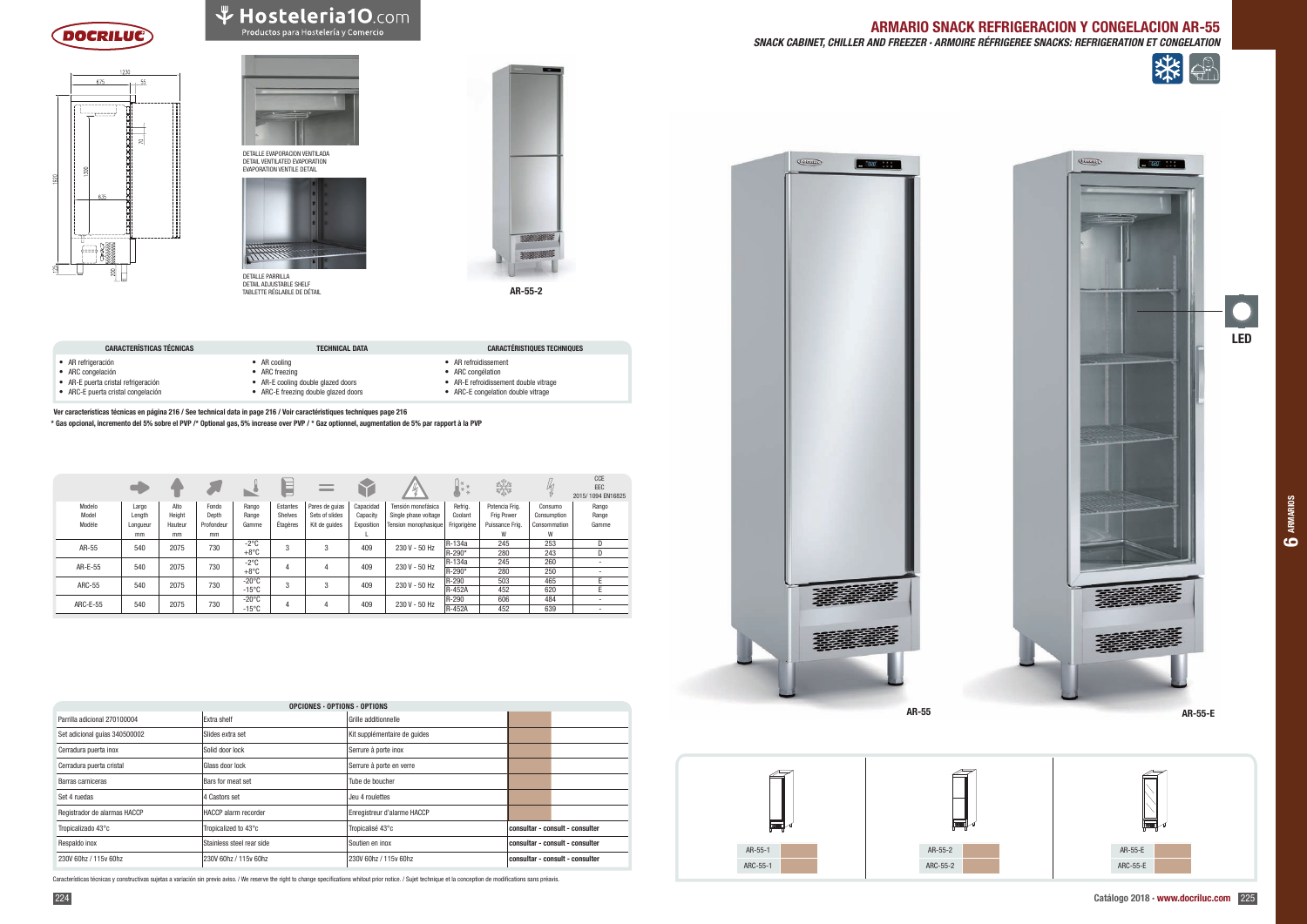224 Catálogo 2018 · www.docriluc.com 225









DETALLE PARRILLA<br>DETAIL ADJUSTABLE SHELF<br>TABLETTE RÉGLABLE DE DÉTAIL



| CARACTERÍSTICAS TÉCNICAS            | <b>TECHNICAL DATA</b>              | <b>CARACTÉRISTIQUES TECHNIQUES</b>    |
|-------------------------------------|------------------------------------|---------------------------------------|
| • AR refrigeración                  | AR cooling                         | • AR refroidissement                  |
| • ARC congelación                   | ARC freezing                       | • ARC congélation                     |
| • AR-E puerta cristal refrigeración | • AR-E cooling double glazed doors | • AR-E refroidissement double vitrage |
| • ARC-E puerta cristal congelación  | ARC-E freezing double glazed doors | • ARC-E congelation double vitrage    |

AR-55-2

| <b>OPCIONES · OPTIONS · OPTIONS</b> |                           |                              |                                 |                                 |  |  |  |  |  |  |
|-------------------------------------|---------------------------|------------------------------|---------------------------------|---------------------------------|--|--|--|--|--|--|
| Parrilla adicional 270100004        | Extra shelf               | Grille additionnelle         |                                 |                                 |  |  |  |  |  |  |
| Set adicional quías 340500002       | Slides extra set          | Kit supplémentaire de quides |                                 |                                 |  |  |  |  |  |  |
| Cerradura puerta inox               | Solid door lock           | Serrure à porte inox         |                                 |                                 |  |  |  |  |  |  |
| Cerradura puerta cristal            | Glass door lock           | Serrure à porte en verre     |                                 |                                 |  |  |  |  |  |  |
| Barras carniceras                   | <b>Bars for meat set</b>  | Tube de boucher              |                                 |                                 |  |  |  |  |  |  |
| Set 4 ruedas                        | 4 Castors set             | Jeu 4 roulettes              |                                 |                                 |  |  |  |  |  |  |
| Registrador de alarmas HACCP        | HACCP alarm recorder      | Enregistreur d'alarme HACCP  |                                 |                                 |  |  |  |  |  |  |
| Tropicalizado 43°c                  | Tropicalized to 43°c      | Tropicalisé 43°c             |                                 | consultar - consult - consulter |  |  |  |  |  |  |
| Respaldo inox                       | Stainless steel rear side | Soutien en inox              | consultar - consult - consulter |                                 |  |  |  |  |  |  |
| 230V 60hz / 115y 60hz               | 230V 60hz / 115v 60hz     | 230V 60hz / 115y 60hz        |                                 | consultar - consult - consulter |  |  |  |  |  |  |

Características técnicas y constructivas sujetas a variación sin previo aviso. / We reserve the right to change specifications whitout prior notice. / Sujet technique et la conception de modifications sans préavis.

ARMARIO SNACK REFRIGERACION Y CONGELACION AR-55 SNACK CABINET, CHILLER AND FREEZER · ARMOIRE RÉFRIGEREE SNACKS: REFRIGERATION ET CONGELATION









ArmArios

<u>ဖ</u>

|                 |          |         |            | ◉               |          | $\overline{\phantom{a}}$ |            |                      | ∷∗<br>$\frac{1}{\sqrt{2}}$<br>O. | <b>Alle</b>       |              | CCE<br>EEC<br>2015/1094 EN16825 |
|-----------------|----------|---------|------------|-----------------|----------|--------------------------|------------|----------------------|----------------------------------|-------------------|--------------|---------------------------------|
| Modelo          | Largo    | Alto    | Fondo      | Rango           | Estantes | Pares de quias           | Capacidad  | Tensión monofásica   | Refrig.                          | Potencia Frig.    | Consumo      | Rango                           |
| Model           | Length   | Height  | Depth      | Range           | Shelves  | Sets of slides           | Capacity   | Single phase voltage | Coolant                          | <b>Frig Power</b> | Consumption  | Range                           |
| Modèle          | Longueur | Hauteur | Profondeur | Gamme           | Étagères | Kit de quides            | Exposition | Tension monophasique | Frigorigène                      | Puissance Frig.   | Consommation | Gamme                           |
|                 | mm       | mm      | mm         |                 |          |                          |            |                      |                                  | W                 | W            |                                 |
| AR-55           | 540      | 2075    | 730        | $-2^{\circ}$ C  | 3        | 3                        | 409        | 230 V - 50 Hz        | R-134a                           | 245               | 253          | D                               |
|                 |          |         |            | $+8^{\circ}C$   |          |                          |            |                      | R-290*                           | 280               | 243          | D                               |
| AR-E-55         | 540      | 2075    | 730        | $-2^{\circ}C$   | 4        | 4                        | 409        | 230 V - 50 Hz        | R-134a                           | 245               | 260          |                                 |
|                 |          |         |            | $+8^{\circ}C$   |          |                          |            |                      | R-290*                           | 280               | 250          |                                 |
| ARC-55          | 540      | 2075    | 730        | $-20^{\circ}$ C | 3        | 3                        | 409        | 230 V - 50 Hz        | R-290                            | 503               | 465          |                                 |
|                 |          |         |            | $-15^{\circ}$ C |          |                          |            |                      | <b>R-452A</b>                    | 452               | 620          | F                               |
| <b>ARC-E-55</b> | 540      | 2075    | 730        | $-20^{\circ}$ C | 4        | 4                        | 409        | 230 V - 50 Hz        | R-290                            | 606               | 484          |                                 |
|                 |          |         |            | $-15^{\circ}$ C |          |                          |            |                      | <b>R-452A</b>                    | 452               | 639          |                                 |

\* Gas opcional, incremento del 5% sobre el PVP /\* Optional gas, 5% increase over PVP / \* Gaz optionnel, augmentation de 5% par rapport à la PVP Ver características técnicas en página 216 / See technical data in page 216 / Voir caractéristiques techniques page 216